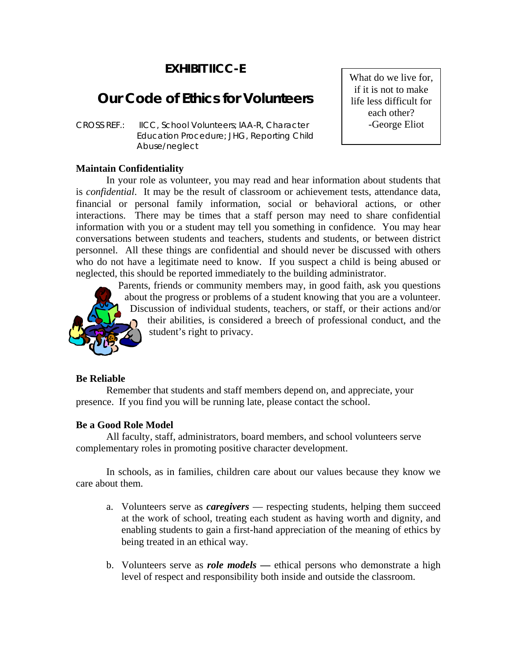# **EXHIBIT IICC-E**

# **Our Code of Ethics for Volunteers**

*CROSS REF.: IICC, School Volunteers; IAA-R, Character Education Procedure; JHG, Reporting Child Abuse/neglect*

#### **Maintain Confidentiality**

In your role as volunteer, you may read and hear information about students that is *confidential*. It may be the result of classroom or achievement tests, attendance data, financial or personal family information, social or behavioral actions, or other interactions. There may be times that a staff person may need to share confidential information with you or a student may tell you something in confidence. You may hear conversations between students and teachers, students and students, or between district personnel. All these things are confidential and should never be discussed with others who do not have a legitimate need to know. If you suspect a child is being abused or neglected, this should be reported immediately to the building administrator.



Parents, friends or community members may, in good faith, ask you questions about the progress or problems of a student knowing that you are a volunteer. Discussion of individual students, teachers, or staff, or their actions and/or their abilities, is considered a breech of professional conduct, and the student's right to privacy.

#### **Be Reliable**

Remember that students and staff members depend on, and appreciate, your presence. If you find you will be running late, please contact the school.

### **Be a Good Role Model**

All faculty, staff, administrators, board members, and school volunteers serve complementary roles in promoting positive character development.

In schools, as in families, children care about our values because they know we care about them.

- a. Volunteers serve as *caregivers* respecting students, helping them succeed at the work of school, treating each student as having worth and dignity, and enabling students to gain a first-hand appreciation of the meaning of ethics by being treated in an ethical way.
- b. Volunteers serve as *role models* **—** ethical persons who demonstrate a high level of respect and responsibility both inside and outside the classroom.

What do we live for, if it is not to make life less difficult for each other? -George Eliot